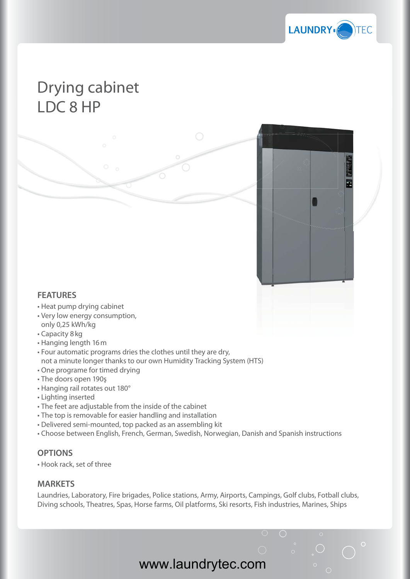

 $\bigcirc$ 

## Drying cabinet LDC 8 HP

## **FEATURES**

- Heat pump drying cabinet
- Very low energy consumption, only 0,25 kWh/kg
- Capacity 8 kg
- Hanging length 16 m
- Four automatic programs dries the clothes until they are dry, not a minute longer thanks to our own Humidity Tracking System (HTS)
- One programe for timed drying
- The doors open 190ş
- Hanging rail rotates out 180°
- Lighting inserted
- The feet are adjustable from the inside of the cabinet
- The top is removable for easier handling and installation
- Delivered semi-mounted, top packed as an assembling kit
- Choose between English, French, German, Swedish, Norwegian, Danish and Spanish instructions

## **OPTIONS**

• Hook rack, set of three

## **MARKETS**

Laundries, Laboratory, Fire brigades, Police stations, Army, Airports, Campings, Golf clubs, Fotball clubs, Diving schools, Theatres, Spas, Horse farms, Oil platforms, Ski resorts, Fish industries, Marines, Ships

www.laundrytec.com